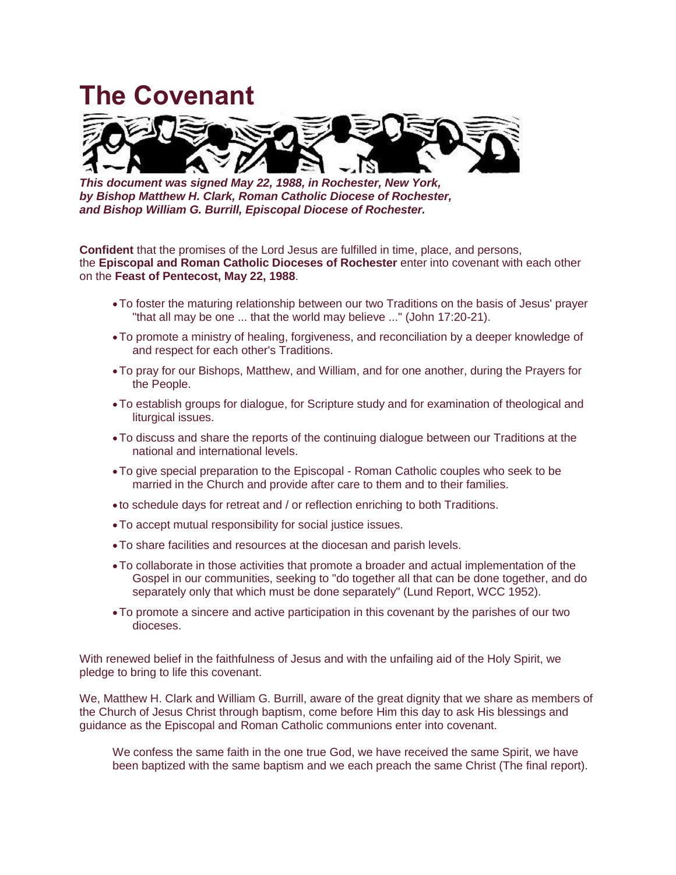## **The Covenant**



*This document was signed May 22, 1988, in Rochester, New York, by Bishop Matthew H. Clark, Roman Catholic Diocese of Rochester, and Bishop William G. Burrill, Episcopal Diocese of Rochester.*

**Confident** that the promises of the Lord Jesus are fulfilled in time, place, and persons, the **Episcopal and Roman Catholic Dioceses of Rochester** enter into covenant with each other on the **Feast of Pentecost, May 22, 1988**.

- •To foster the maturing relationship between our two Traditions on the basis of Jesus' prayer "that all may be one ... that the world may believe ..." (John 17:20-21).
- •To promote a ministry of healing, forgiveness, and reconciliation by a deeper knowledge of and respect for each other's Traditions.
- •To pray for our Bishops, Matthew, and William, and for one another, during the Prayers for the People.
- •To establish groups for dialogue, for Scripture study and for examination of theological and liturgical issues.
- •To discuss and share the reports of the continuing dialogue between our Traditions at the national and international levels.
- •To give special preparation to the Episcopal Roman Catholic couples who seek to be married in the Church and provide after care to them and to their families.
- to schedule days for retreat and / or reflection enriching to both Traditions.
- •To accept mutual responsibility for social justice issues.
- •To share facilities and resources at the diocesan and parish levels.
- •To collaborate in those activities that promote a broader and actual implementation of the Gospel in our communities, seeking to "do together all that can be done together, and do separately only that which must be done separately" (Lund Report, WCC 1952).
- •To promote a sincere and active participation in this covenant by the parishes of our two dioceses.

With renewed belief in the faithfulness of Jesus and with the unfailing aid of the Holy Spirit, we pledge to bring to life this covenant.

We, Matthew H. Clark and William G. Burrill, aware of the great dignity that we share as members of the Church of Jesus Christ through baptism, come before Him this day to ask His blessings and guidance as the Episcopal and Roman Catholic communions enter into covenant.

We confess the same faith in the one true God, we have received the same Spirit, we have been baptized with the same baptism and we each preach the same Christ (The final report).